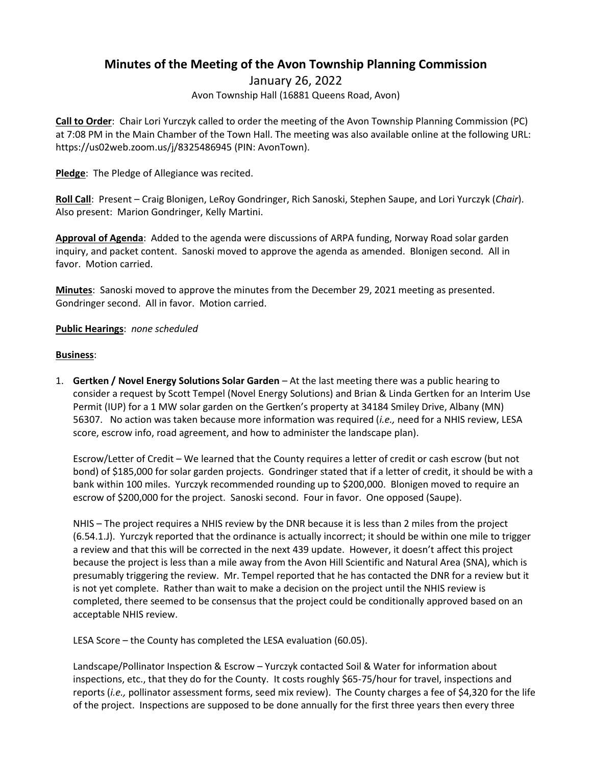### **Minutes of the Meeting of the Avon Township Planning Commission**

January 26, 2022 Avon Township Hall (16881 Queens Road, Avon)

**Call to Order**: Chair Lori Yurczyk called to order the meeting of the Avon Township Planning Commission (PC) at 7:08 PM in the Main Chamber of the Town Hall. The meeting was also available online at the following URL: https://us02web.zoom.us/j/8325486945 (PIN: AvonTown).

**Pledge**: The Pledge of Allegiance was recited.

**Roll Call**: Present – Craig Blonigen, LeRoy Gondringer, Rich Sanoski, Stephen Saupe, and Lori Yurczyk (*Chair*). Also present: Marion Gondringer, Kelly Martini.

**Approval of Agenda**: Added to the agenda were discussions of ARPA funding, Norway Road solar garden inquiry, and packet content. Sanoski moved to approve the agenda as amended. Blonigen second. All in favor. Motion carried.

**Minutes**: Sanoski moved to approve the minutes from the December 29, 2021 meeting as presented. Gondringer second. All in favor. Motion carried.

#### **Public Hearings**: *none scheduled*

#### **Business**:

1. **Gertken / Novel Energy Solutions Solar Garden** – At the last meeting there was a public hearing to consider a request by Scott Tempel (Novel Energy Solutions) and Brian & Linda Gertken for an Interim Use Permit (IUP) for a 1 MW solar garden on the Gertken's property at 34184 Smiley Drive, Albany (MN) 56307. No action was taken because more information was required (*i.e.,* need for a NHIS review, LESA score, escrow info, road agreement, and how to administer the landscape plan).

Escrow/Letter of Credit – We learned that the County requires a letter of credit or cash escrow (but not bond) of \$185,000 for solar garden projects. Gondringer stated that if a letter of credit, it should be with a bank within 100 miles. Yurczyk recommended rounding up to \$200,000. Blonigen moved to require an escrow of \$200,000 for the project. Sanoski second. Four in favor. One opposed (Saupe).

NHIS – The project requires a NHIS review by the DNR because it is less than 2 miles from the project (6.54.1.J). Yurczyk reported that the ordinance is actually incorrect; it should be within one mile to trigger a review and that this will be corrected in the next 439 update. However, it doesn't affect this project because the project is less than a mile away from the Avon Hill Scientific and Natural Area (SNA), which is presumably triggering the review. Mr. Tempel reported that he has contacted the DNR for a review but it is not yet complete. Rather than wait to make a decision on the project until the NHIS review is completed, there seemed to be consensus that the project could be conditionally approved based on an acceptable NHIS review.

LESA Score – the County has completed the LESA evaluation (60.05).

Landscape/Pollinator Inspection & Escrow – Yurczyk contacted Soil & Water for information about inspections, etc., that they do for the County. It costs roughly \$65-75/hour for travel, inspections and reports (*i.e.,* pollinator assessment forms, seed mix review). The County charges a fee of \$4,320 for the life of the project. Inspections are supposed to be done annually for the first three years then every three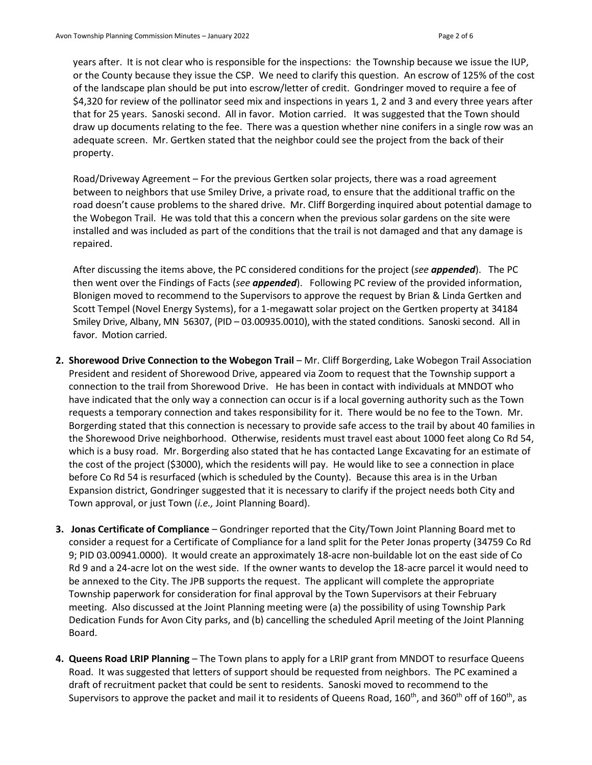years after. It is not clear who is responsible for the inspections: the Township because we issue the IUP, or the County because they issue the CSP. We need to clarify this question. An escrow of 125% of the cost of the landscape plan should be put into escrow/letter of credit. Gondringer moved to require a fee of \$4,320 for review of the pollinator seed mix and inspections in years 1, 2 and 3 and every three years after that for 25 years. Sanoski second. All in favor. Motion carried. It was suggested that the Town should draw up documents relating to the fee. There was a question whether nine conifers in a single row was an adequate screen. Mr. Gertken stated that the neighbor could see the project from the back of their property.

Road/Driveway Agreement – For the previous Gertken solar projects, there was a road agreement between to neighbors that use Smiley Drive, a private road, to ensure that the additional traffic on the road doesn't cause problems to the shared drive. Mr. Cliff Borgerding inquired about potential damage to the Wobegon Trail. He was told that this a concern when the previous solar gardens on the site were installed and was included as part of the conditions that the trail is not damaged and that any damage is repaired.

After discussing the items above, the PC considered conditions for the project (*see appended*). The PC then went over the Findings of Facts (*see appended*). Following PC review of the provided information, Blonigen moved to recommend to the Supervisors to approve the request by Brian & Linda Gertken and Scott Tempel (Novel Energy Systems), for a 1-megawatt solar project on the Gertken property at 34184 Smiley Drive, Albany, MN 56307, (PID – 03.00935.0010), with the stated conditions. Sanoski second. All in favor. Motion carried.

- **2. Shorewood Drive Connection to the Wobegon Trail**  Mr. Cliff Borgerding, Lake Wobegon Trail Association President and resident of Shorewood Drive, appeared via Zoom to request that the Township support a connection to the trail from Shorewood Drive. He has been in contact with individuals at MNDOT who have indicated that the only way a connection can occur is if a local governing authority such as the Town requests a temporary connection and takes responsibility for it. There would be no fee to the Town. Mr. Borgerding stated that this connection is necessary to provide safe access to the trail by about 40 families in the Shorewood Drive neighborhood. Otherwise, residents must travel east about 1000 feet along Co Rd 54, which is a busy road. Mr. Borgerding also stated that he has contacted Lange Excavating for an estimate of the cost of the project (\$3000), which the residents will pay. He would like to see a connection in place before Co Rd 54 is resurfaced (which is scheduled by the County). Because this area is in the Urban Expansion district, Gondringer suggested that it is necessary to clarify if the project needs both City and Town approval, or just Town (*i.e.,* Joint Planning Board).
- **3. Jonas Certificate of Compliance**  Gondringer reported that the City/Town Joint Planning Board met to consider a request for a Certificate of Compliance for a land split for the Peter Jonas property (34759 Co Rd 9; PID 03.00941.0000). It would create an approximately 18-acre non-buildable lot on the east side of Co Rd 9 and a 24-acre lot on the west side. If the owner wants to develop the 18-acre parcel it would need to be annexed to the City. The JPB supports the request. The applicant will complete the appropriate Township paperwork for consideration for final approval by the Town Supervisors at their February meeting. Also discussed at the Joint Planning meeting were (a) the possibility of using Township Park Dedication Funds for Avon City parks, and (b) cancelling the scheduled April meeting of the Joint Planning Board.
- **4. Queens Road LRIP Planning**  The Town plans to apply for a LRIP grant from MNDOT to resurface Queens Road. It was suggested that letters of support should be requested from neighbors. The PC examined a draft of recruitment packet that could be sent to residents. Sanoski moved to recommend to the Supervisors to approve the packet and mail it to residents of Queens Road, 160<sup>th</sup>, and 360<sup>th</sup> off of 160<sup>th</sup>, as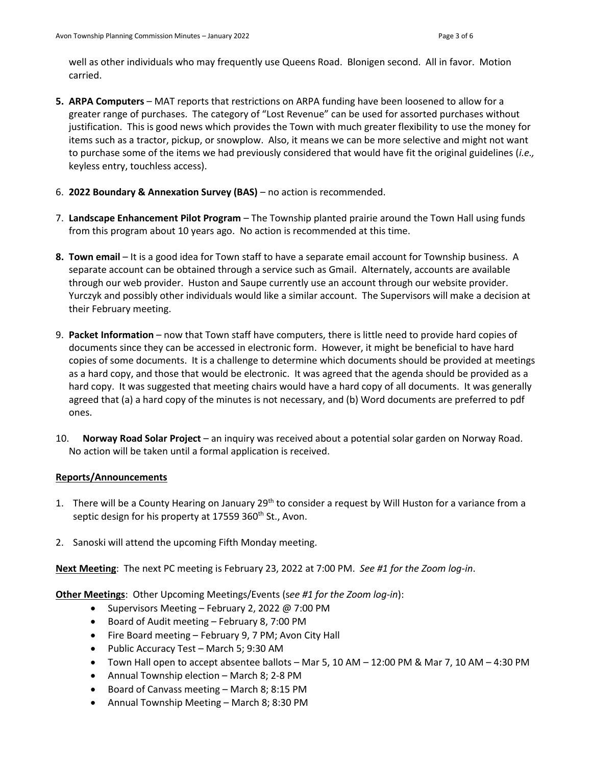well as other individuals who may frequently use Queens Road. Blonigen second. All in favor. Motion carried.

- **5. ARPA Computers** MAT reports that restrictions on ARPA funding have been loosened to allow for a greater range of purchases. The category of "Lost Revenue" can be used for assorted purchases without justification. This is good news which provides the Town with much greater flexibility to use the money for items such as a tractor, pickup, or snowplow. Also, it means we can be more selective and might not want to purchase some of the items we had previously considered that would have fit the original guidelines (*i.e.,* keyless entry, touchless access).
- 6. **2022 Boundary & Annexation Survey (BAS)** no action is recommended.
- 7. **Landscape Enhancement Pilot Program** The Township planted prairie around the Town Hall using funds from this program about 10 years ago. No action is recommended at this time.
- **8. Town email** It is a good idea for Town staff to have a separate email account for Township business. A separate account can be obtained through a service such as Gmail. Alternately, accounts are available through our web provider. Huston and Saupe currently use an account through our website provider. Yurczyk and possibly other individuals would like a similar account. The Supervisors will make a decision at their February meeting.
- 9. **Packet Information**  now that Town staff have computers, there is little need to provide hard copies of documents since they can be accessed in electronic form. However, it might be beneficial to have hard copies of some documents. It is a challenge to determine which documents should be provided at meetings as a hard copy, and those that would be electronic. It was agreed that the agenda should be provided as a hard copy. It was suggested that meeting chairs would have a hard copy of all documents. It was generally agreed that (a) a hard copy of the minutes is not necessary, and (b) Word documents are preferred to pdf ones.
- 10. **Norway Road Solar Project** an inquiry was received about a potential solar garden on Norway Road. No action will be taken until a formal application is received.

#### **Reports/Announcements**

- 1. There will be a County Hearing on January 29<sup>th</sup> to consider a request by Will Huston for a variance from a septic design for his property at 17559 360<sup>th</sup> St., Avon.
- 2. Sanoski will attend the upcoming Fifth Monday meeting.

**Next Meeting**: The next PC meeting is February 23, 2022 at 7:00 PM. *See #1 for the Zoom log-in*.

**Other Meetings**: Other Upcoming Meetings/Events (s*ee #1 for the Zoom log-in*):

- Supervisors Meeting February 2, 2022 @ 7:00 PM
- Board of Audit meeting February 8, 7:00 PM
- Fire Board meeting February 9, 7 PM; Avon City Hall
- Public Accuracy Test March 5; 9:30 AM
- Town Hall open to accept absentee ballots Mar 5, 10 AM 12:00 PM & Mar 7, 10 AM 4:30 PM
- Annual Township election March 8; 2-8 PM
- Board of Canvass meeting March 8; 8:15 PM
- Annual Township Meeting March 8; 8:30 PM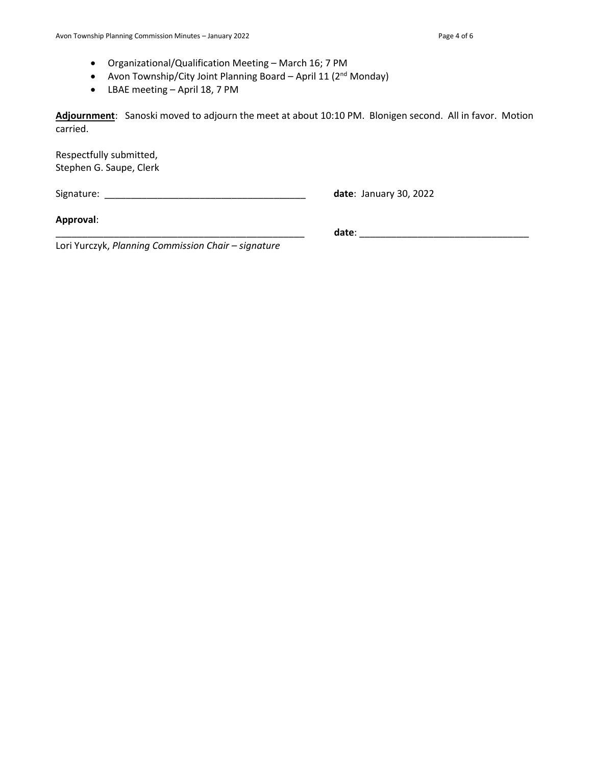- Organizational/Qualification Meeting March 16; 7 PM
- Avon Township/City Joint Planning Board April 11 (2<sup>nd</sup> Monday)
- LBAE meeting April 18, 7 PM

**Adjournment**: Sanoski moved to adjourn the meet at about 10:10 PM. Blonigen second. All in favor. Motion carried.

Respectfully submitted, Stephen G. Saupe, Clerk

Signature: \_\_\_\_\_\_\_\_\_\_\_\_\_\_\_\_\_\_\_\_\_\_\_\_\_\_\_\_\_\_\_\_\_\_\_\_\_\_ **date**: January 30, 2022

**Approval**:

\_\_\_\_\_\_\_\_\_\_\_\_\_\_\_\_\_\_\_\_\_\_\_\_\_\_\_\_\_\_\_\_\_\_\_\_\_\_\_\_\_\_\_\_\_\_\_ **date**: \_\_\_\_\_\_\_\_\_\_\_\_\_\_\_\_\_\_\_\_\_\_\_\_\_\_\_\_\_\_\_\_

Lori Yurczyk, *Planning Commission Chair – signature*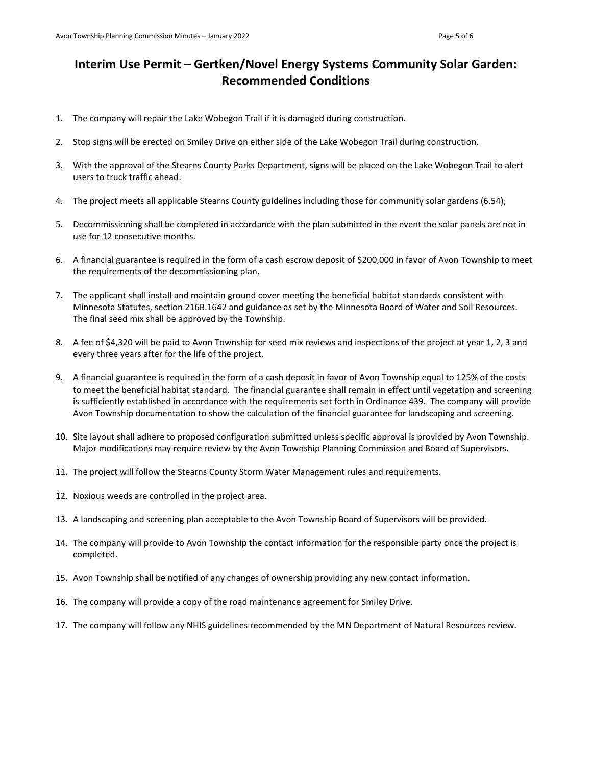## **Interim Use Permit – Gertken/Novel Energy Systems Community Solar Garden: Recommended Conditions**

- 1. The company will repair the Lake Wobegon Trail if it is damaged during construction.
- 2. Stop signs will be erected on Smiley Drive on either side of the Lake Wobegon Trail during construction.
- 3. With the approval of the Stearns County Parks Department, signs will be placed on the Lake Wobegon Trail to alert users to truck traffic ahead.
- 4. The project meets all applicable Stearns County guidelines including those for community solar gardens (6.54);
- 5. Decommissioning shall be completed in accordance with the plan submitted in the event the solar panels are not in use for 12 consecutive months.
- 6. A financial guarantee is required in the form of a cash escrow deposit of \$200,000 in favor of Avon Township to meet the requirements of the decommissioning plan.
- 7. The applicant shall install and maintain ground cover meeting the beneficial habitat standards consistent with Minnesota Statutes, section 216B.1642 and guidance as set by the Minnesota Board of Water and Soil Resources. The final seed mix shall be approved by the Township.
- 8. A fee of \$4,320 will be paid to Avon Township for seed mix reviews and inspections of the project at year 1, 2, 3 and every three years after for the life of the project.
- 9. A financial guarantee is required in the form of a cash deposit in favor of Avon Township equal to 125% of the costs to meet the beneficial habitat standard. The financial guarantee shall remain in effect until vegetation and screening is sufficiently established in accordance with the requirements set forth in Ordinance 439. The company will provide Avon Township documentation to show the calculation of the financial guarantee for landscaping and screening.
- 10. Site layout shall adhere to proposed configuration submitted unless specific approval is provided by Avon Township. Major modifications may require review by the Avon Township Planning Commission and Board of Supervisors.
- 11. The project will follow the Stearns County Storm Water Management rules and requirements.
- 12. Noxious weeds are controlled in the project area.
- 13. A landscaping and screening plan acceptable to the Avon Township Board of Supervisors will be provided.
- 14. The company will provide to Avon Township the contact information for the responsible party once the project is completed.
- 15. Avon Township shall be notified of any changes of ownership providing any new contact information.
- 16. The company will provide a copy of the road maintenance agreement for Smiley Drive.
- 17. The company will follow any NHIS guidelines recommended by the MN Department of Natural Resources review.